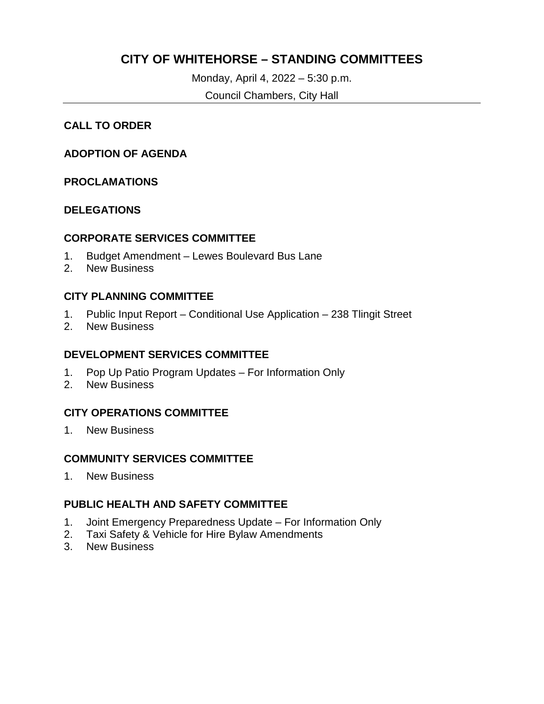# **CITY OF WHITEHORSE – STANDING COMMITTEES**

Monday, April 4, 2022 – 5:30 p.m. Council Chambers, City Hall

#### **CALL TO ORDER**

#### **ADOPTION OF AGENDA**

#### **PROCLAMATIONS**

#### **DELEGATIONS**

#### **CORPORATE SERVICES COMMITTEE**

- 1. Budget Amendment Lewes Boulevard Bus Lane
- 2. New Business

#### **CITY PLANNING COMMITTEE**

- 1. Public Input Report Conditional Use Application 238 Tlingit Street
- 2. New Business

#### **DEVELOPMENT SERVICES COMMITTEE**

- 1. Pop Up Patio Program Updates For Information Only
- 2. New Business

### **CITY OPERATIONS COMMITTEE**

1. New Business

### **COMMUNITY SERVICES COMMITTEE**

1. New Business

### **PUBLIC HEALTH AND SAFETY COMMITTEE**

- 1. Joint Emergency Preparedness Update For Information Only
- 2. Taxi Safety & Vehicle for Hire Bylaw Amendments
- 3. New Business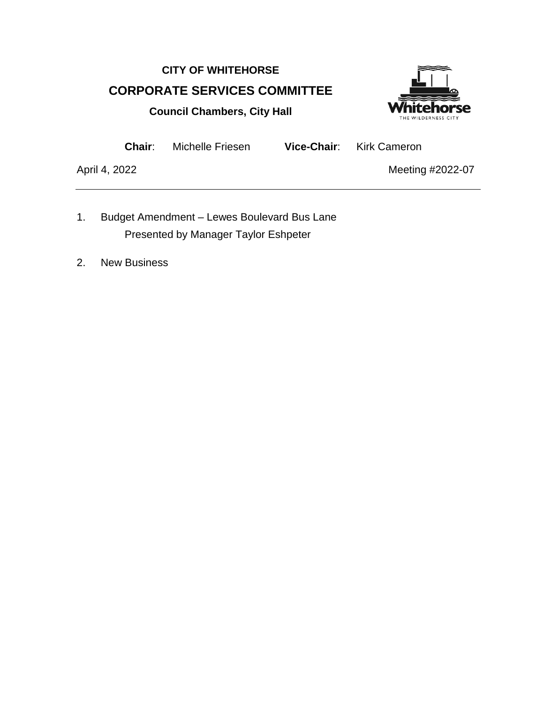# **CITY OF WHITEHORSE CORPORATE SERVICES COMMITTEE**



**Council Chambers, City Hall**

**Chair**: Michelle Friesen **Vice-Chair**: Kirk Cameron

- 1. Budget Amendment Lewes Boulevard Bus Lane Presented by Manager Taylor Eshpeter
- 2. New Business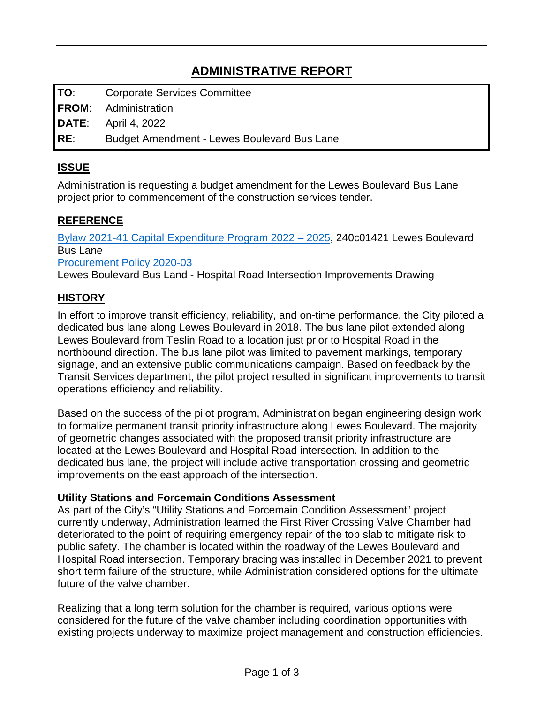**TO**: Corporate Services Committee

**FROM**: Administration

**DATE**: April 4, 2022

**RE**: Budget Amendment - Lewes Boulevard Bus Lane

# **ISSUE**

Administration is requesting a budget amendment for the Lewes Boulevard Bus Lane project prior to commencement of the construction services tender.

# **REFERENCE**

[Bylaw 2021-41 Capital Expenditure Program 2022 –](https://whitehorse.ca/home/showpublisheddocument/9371/637819809012100000) 2025, 240c01421 Lewes Boulevard Bus Lane

[Procurement Policy 2020-03](https://whitehorse.ca/home/showpublisheddocument/13860/637328235220100000)

Lewes Boulevard Bus Land - Hospital Road Intersection Improvements Drawing

# **HISTORY**

In effort to improve transit efficiency, reliability, and on-time performance, the City piloted a dedicated bus lane along Lewes Boulevard in 2018. The bus lane pilot extended along Lewes Boulevard from Teslin Road to a location just prior to Hospital Road in the northbound direction. The bus lane pilot was limited to pavement markings, temporary signage, and an extensive public communications campaign. Based on feedback by the Transit Services department, the pilot project resulted in significant improvements to transit operations efficiency and reliability.

Based on the success of the pilot program, Administration began engineering design work to formalize permanent transit priority infrastructure along Lewes Boulevard. The majority of geometric changes associated with the proposed transit priority infrastructure are located at the Lewes Boulevard and Hospital Road intersection. In addition to the dedicated bus lane, the project will include active transportation crossing and geometric improvements on the east approach of the intersection.

### **Utility Stations and Forcemain Conditions Assessment**

As part of the City's "Utility Stations and Forcemain Condition Assessment" project currently underway, Administration learned the First River Crossing Valve Chamber had deteriorated to the point of requiring emergency repair of the top slab to mitigate risk to public safety. The chamber is located within the roadway of the Lewes Boulevard and Hospital Road intersection. Temporary bracing was installed in December 2021 to prevent short term failure of the structure, while Administration considered options for the ultimate future of the valve chamber.

Realizing that a long term solution for the chamber is required, various options were considered for the future of the valve chamber including coordination opportunities with existing projects underway to maximize project management and construction efficiencies.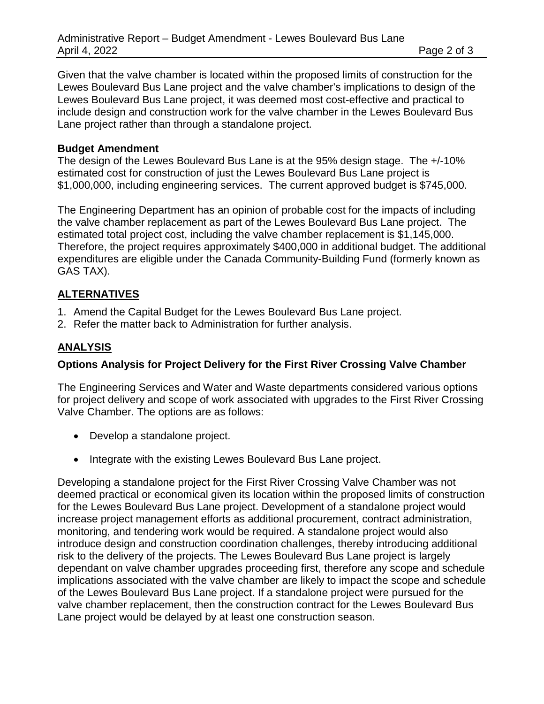Given that the valve chamber is located within the proposed limits of construction for the Lewes Boulevard Bus Lane project and the valve chamber's implications to design of the Lewes Boulevard Bus Lane project, it was deemed most cost-effective and practical to include design and construction work for the valve chamber in the Lewes Boulevard Bus Lane project rather than through a standalone project.

#### **Budget Amendment**

The design of the Lewes Boulevard Bus Lane is at the 95% design stage. The +/-10% estimated cost for construction of just the Lewes Boulevard Bus Lane project is \$1,000,000, including engineering services. The current approved budget is \$745,000.

The Engineering Department has an opinion of probable cost for the impacts of including the valve chamber replacement as part of the Lewes Boulevard Bus Lane project. The estimated total project cost, including the valve chamber replacement is \$1,145,000. Therefore, the project requires approximately \$400,000 in additional budget. The additional expenditures are eligible under the Canada Community-Building Fund (formerly known as GAS TAX).

#### **ALTERNATIVES**

- 1. Amend the Capital Budget for the Lewes Boulevard Bus Lane project.
- 2. Refer the matter back to Administration for further analysis.

### **ANALYSIS**

#### **Options Analysis for Project Delivery for the First River Crossing Valve Chamber**

The Engineering Services and Water and Waste departments considered various options for project delivery and scope of work associated with upgrades to the First River Crossing Valve Chamber. The options are as follows:

- Develop a standalone project.
- Integrate with the existing Lewes Boulevard Bus Lane project.

Developing a standalone project for the First River Crossing Valve Chamber was not deemed practical or economical given its location within the proposed limits of construction for the Lewes Boulevard Bus Lane project. Development of a standalone project would increase project management efforts as additional procurement, contract administration, monitoring, and tendering work would be required. A standalone project would also introduce design and construction coordination challenges, thereby introducing additional risk to the delivery of the projects. The Lewes Boulevard Bus Lane project is largely dependant on valve chamber upgrades proceeding first, therefore any scope and schedule implications associated with the valve chamber are likely to impact the scope and schedule of the Lewes Boulevard Bus Lane project. If a standalone project were pursued for the valve chamber replacement, then the construction contract for the Lewes Boulevard Bus Lane project would be delayed by at least one construction season.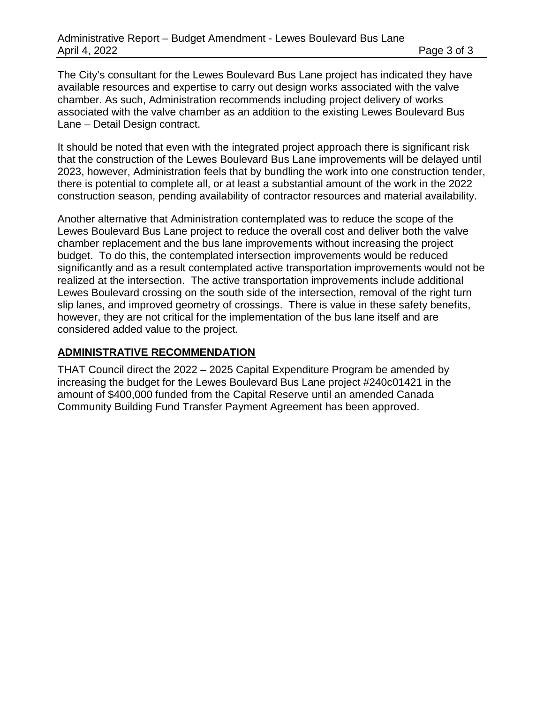The City's consultant for the Lewes Boulevard Bus Lane project has indicated they have available resources and expertise to carry out design works associated with the valve chamber. As such, Administration recommends including project delivery of works associated with the valve chamber as an addition to the existing Lewes Boulevard Bus Lane – Detail Design contract.

It should be noted that even with the integrated project approach there is significant risk that the construction of the Lewes Boulevard Bus Lane improvements will be delayed until 2023, however, Administration feels that by bundling the work into one construction tender, there is potential to complete all, or at least a substantial amount of the work in the 2022 construction season, pending availability of contractor resources and material availability.

Another alternative that Administration contemplated was to reduce the scope of the Lewes Boulevard Bus Lane project to reduce the overall cost and deliver both the valve chamber replacement and the bus lane improvements without increasing the project budget. To do this, the contemplated intersection improvements would be reduced significantly and as a result contemplated active transportation improvements would not be realized at the intersection. The active transportation improvements include additional Lewes Boulevard crossing on the south side of the intersection, removal of the right turn slip lanes, and improved geometry of crossings. There is value in these safety benefits, however, they are not critical for the implementation of the bus lane itself and are considered added value to the project.

#### **ADMINISTRATIVE RECOMMENDATION**

THAT Council direct the 2022 – 2025 Capital Expenditure Program be amended by increasing the budget for the Lewes Boulevard Bus Lane project #240c01421 in the amount of \$400,000 funded from the Capital Reserve until an amended Canada Community Building Fund Transfer Payment Agreement has been approved.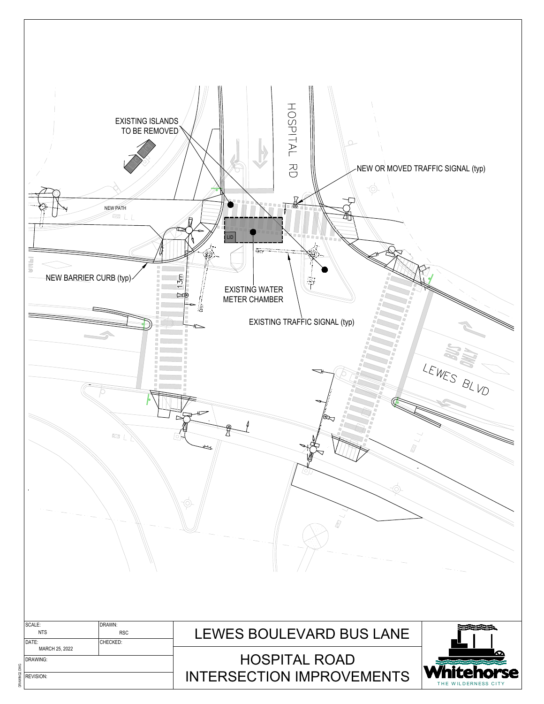| <b>EXISTING ISLANDS</b><br>TO BE REMOVED<br><b>NEW PATH</b><br><b>ESILL</b><br>UNH<br>$\boxdot$<br>B<br>NEW BARRIER CURB (typ)<br>ø<br>G<br>圓<br>Ø<br>$\overline{\mathcal{L}}$ | HOSPITAL RD<br>Ô.<br>$\frac{1}{2}$<br>Ð<br>0000<br>番<br>LID<br>$\Box$<br>$\mathbb{P}_{\mathbb{P}}^{\mathbb{P}}(\mathbb{P}_{\mathbb{P}}^{\mathbb{P}})$<br>13 <sub>m</sub><br>壽<br><b>EXISTING WATER</b><br>⊯া<br>METER CHAMBER<br>濤<br>EXISTING TRAFFIC SIGNAL (typ) | NEW OR MOVED TRAFFIC SIGNAL (typ) |
|--------------------------------------------------------------------------------------------------------------------------------------------------------------------------------|---------------------------------------------------------------------------------------------------------------------------------------------------------------------------------------------------------------------------------------------------------------------|-----------------------------------|
| Ð<br>$\boxtimes$<br>B<br>E<br>$\Box$<br>日<br>固<br>$\Box$<br>$\boxtimes$<br>$\frac{1}{2}$<br>$\rightarrow$                                                                      | $\frac{15}{15}$<br>E<br>E<br>$\boxdot$<br>D<br>D)<br>E<br>$\circledcirc_{\sim}$<br>(O)                                                                                                                                                                              | LEWES BLVD                        |
| SCALE:<br>DRAWN:<br><b>NTS</b><br><b>RSC</b><br>CHECKED:<br>DATE:                                                                                                              | LEWES BOULEVARD BUS LANE                                                                                                                                                                                                                                            |                                   |
| MARCH 25, 2022<br>DRAWING:<br>REVISION:                                                                                                                                        | <b>HOSPITAL ROAD</b><br><b>INTERSECTION IMPROVEMENTS</b>                                                                                                                                                                                                            | <b>rse</b><br>THE WILDERNESS CITY |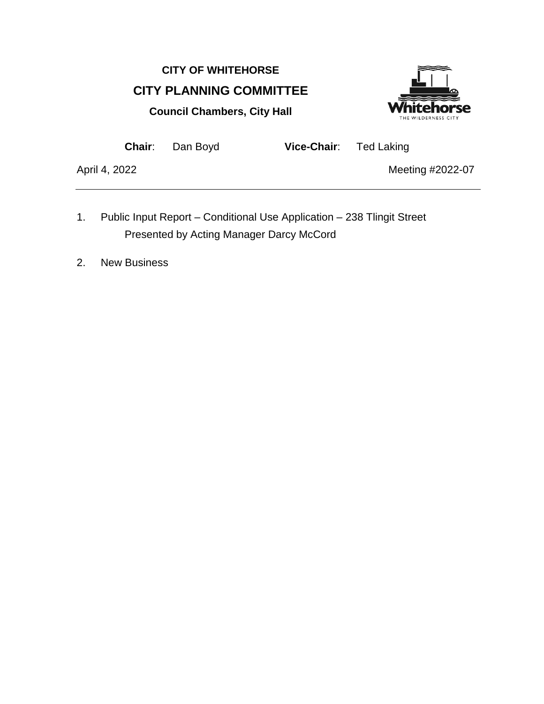# **CITY OF WHITEHORSE CITY PLANNING COMMITTEE Council Chambers, City Hall**



**Chair**: Dan Boyd **Vice-Chair**: Ted Laking

- 1. Public Input Report Conditional Use Application 238 Tlingit Street Presented by Acting Manager Darcy McCord
- 2. New Business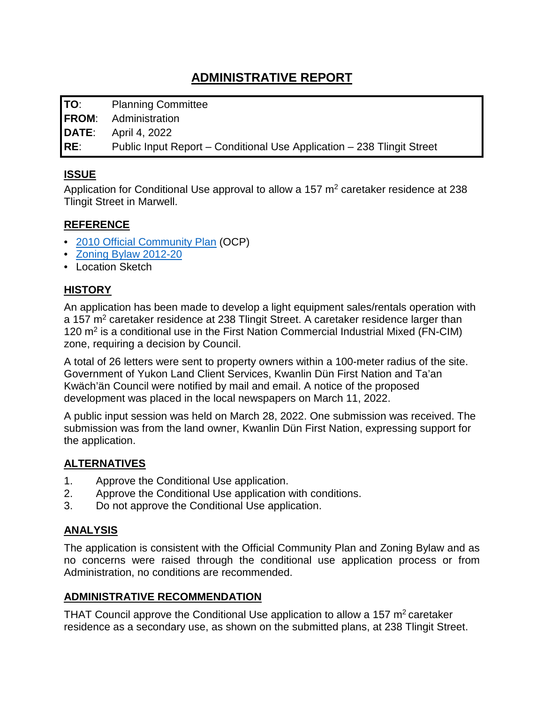**TO**: Planning Committee

**FROM**: Administration

**DATE**: April 4, 2022

**RE**: Public Input Report – Conditional Use Application – 238 Tlingit Street

### **ISSUE**

Application for Conditional Use approval to allow a 157  $m<sup>2</sup>$  caretaker residence at 238 Tlingit Street in Marwell.

#### **REFERENCE**

- [2010 Official Community Plan](https://whitehorse.ca/home/showpublisheddocument/10347/636730482186100000) (OCP)
- [Zoning Bylaw 2012-20](https://whitehorse.ca/home/showpublisheddocument/66/637788686461600000)
- Location Sketch

## **HISTORY**

An application has been made to develop a light equipment sales/rentals operation with a 157 m<sup>2</sup> caretaker residence at 238 Tlingit Street. A caretaker residence larger than 120 m2 is a conditional use in the First Nation Commercial Industrial Mixed (FN-CIM) zone, requiring a decision by Council.

A total of 26 letters were sent to property owners within a 100-meter radius of the site. Government of Yukon Land Client Services, Kwanlin Dün First Nation and Ta'an Kwäch'än Council were notified by mail and email. A notice of the proposed development was placed in the local newspapers on March 11, 2022.

A public input session was held on March 28, 2022. One submission was received. The submission was from the land owner, Kwanlin Dün First Nation, expressing support for the application.

### **ALTERNATIVES**

- 1. Approve the Conditional Use application.
- 2. Approve the Conditional Use application with conditions.
- 3. Do not approve the Conditional Use application.

### **ANALYSIS**

The application is consistent with the Official Community Plan and Zoning Bylaw and as no concerns were raised through the conditional use application process or from Administration, no conditions are recommended.

### **ADMINISTRATIVE RECOMMENDATION**

THAT Council approve the Conditional Use application to allow a 157  $m<sup>2</sup>$  caretaker residence as a secondary use, as shown on the submitted plans, at 238 Tlingit Street.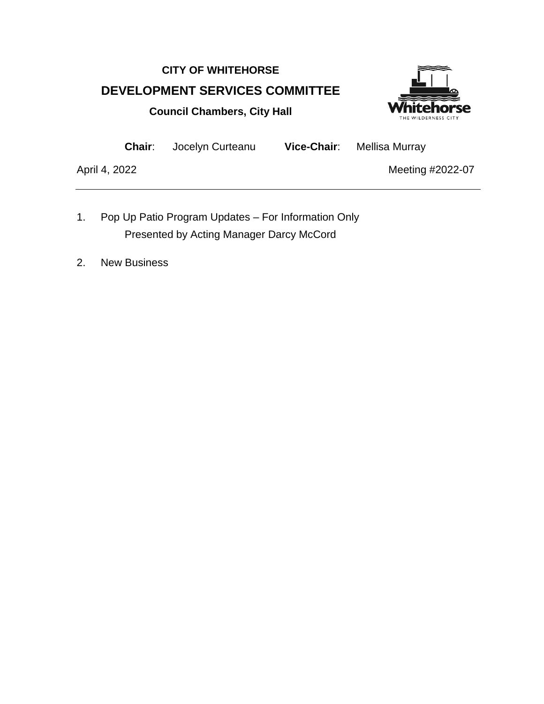# **CITY OF WHITEHORSE DEVELOPMENT SERVICES COMMITTEE Council Chambers, City Hall**



**Chair**: Jocelyn Curteanu **Vice-Chair**: Mellisa Murray

- 1. Pop Up Patio Program Updates For Information Only Presented by Acting Manager Darcy McCord
- 2. New Business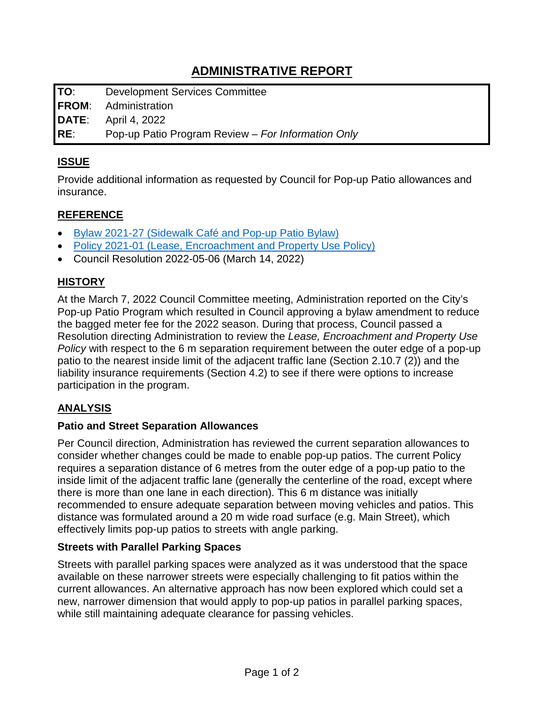**TO**: Development Services Committee

**FROM**: Administration

**DATE**: April 4, 2022

**RE**: Pop-up Patio Program Review – *For Information Only*

## **ISSUE**

Provide additional information as requested by Council for Pop-up Patio allowances and insurance.

## **REFERENCE**

- [Bylaw 2021-27 \(Sidewalk Café and Pop-up Patio Bylaw\)](https://www.whitehorse.ca/home/showpublisheddocument/14983/637577245248330000)
- Policy 2021-01 (Lease, Encroachment and Property Use Policy)
- Council Resolution 2022-05-06 (March 14, 2022)

# **HISTORY**

At the March 7, 2022 Council Committee meeting, Administration reported on the City's Pop-up Patio Program which resulted in Council approving a bylaw amendment to reduce the bagged meter fee for the 2022 season. During that process, Council passed a Resolution directing Administration to review the *Lease, Encroachment and Property Use Policy* with respect to the 6 m separation requirement between the outer edge of a pop-up patio to the nearest inside limit of the adjacent traffic lane (Section 2.10.7 (2)) and the liability insurance requirements (Section 4.2) to see if there were options to increase participation in the program.

# **ANALYSIS**

### **Patio and Street Separation Allowances**

Per Council direction, Administration has reviewed the current separation allowances to consider whether changes could be made to enable pop-up patios. The current Policy requires a separation distance of 6 metres from the outer edge of a pop-up patio to the inside limit of the adjacent traffic lane (generally the centerline of the road, except where there is more than one lane in each direction). This 6 m distance was initially recommended to ensure adequate separation between moving vehicles and patios. This distance was formulated around a 20 m wide road surface (e.g. Main Street), which effectively limits pop-up patios to streets with angle parking.

### **Streets with Parallel Parking Spaces**

Streets with parallel parking spaces were analyzed as it was understood that the space available on these narrower streets were especially challenging to fit patios within the current allowances. An alternative approach has now been explored which could set a new, narrower dimension that would apply to pop-up patios in parallel parking spaces, while still maintaining adequate clearance for passing vehicles.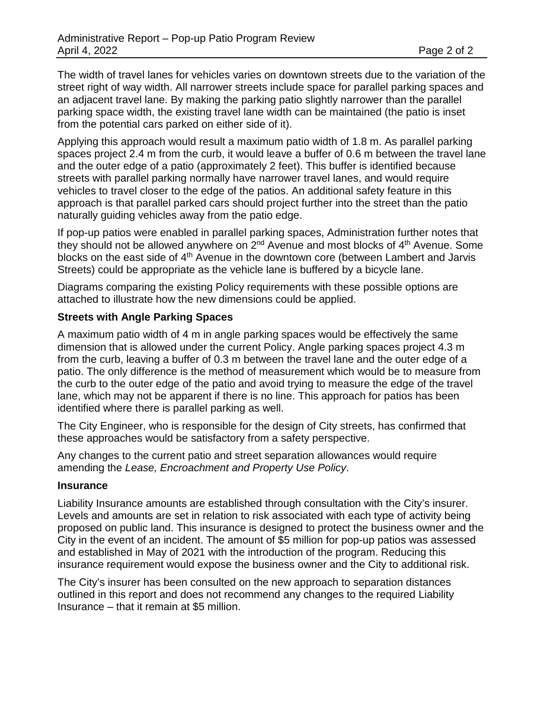The width of travel lanes for vehicles varies on downtown streets due to the variation of the street right of way width. All narrower streets include space for parallel parking spaces and an adjacent travel lane. By making the parking patio slightly narrower than the parallel parking space width, the existing travel lane width can be maintained (the patio is inset from the potential cars parked on either side of it).

Applying this approach would result a maximum patio width of 1.8 m. As parallel parking spaces project 2.4 m from the curb, it would leave a buffer of 0.6 m between the travel lane and the outer edge of a patio (approximately 2 feet). This buffer is identified because streets with parallel parking normally have narrower travel lanes, and would require vehicles to travel closer to the edge of the patios. An additional safety feature in this approach is that parallel parked cars should project further into the street than the patio naturally guiding vehicles away from the patio edge.

If pop-up patios were enabled in parallel parking spaces, Administration further notes that they should not be allowed anywhere on  $2<sup>nd</sup>$  Avenue and most blocks of  $4<sup>th</sup>$  Avenue. Some blocks on the east side of 4<sup>th</sup> Avenue in the downtown core (between Lambert and Jarvis Streets) could be appropriate as the vehicle lane is buffered by a bicycle lane.

Diagrams comparing the existing Policy requirements with these possible options are attached to illustrate how the new dimensions could be applied.

#### **Streets with Angle Parking Spaces**

A maximum patio width of 4 m in angle parking spaces would be effectively the same dimension that is allowed under the current Policy. Angle parking spaces project 4.3 m from the curb, leaving a buffer of 0.3 m between the travel lane and the outer edge of a patio. The only difference is the method of measurement which would be to measure from the curb to the outer edge of the patio and avoid trying to measure the edge of the travel lane, which may not be apparent if there is no line. This approach for patios has been identified where there is parallel parking as well.

The City Engineer, who is responsible for the design of City streets, has confirmed that these approaches would be satisfactory from a safety perspective.

Any changes to the current patio and street separation allowances would require amending the *Lease, Encroachment and Property Use Policy*.

#### **Insurance**

Liability Insurance amounts are established through consultation with the City's insurer. Levels and amounts are set in relation to risk associated with each type of activity being proposed on public land. This insurance is designed to protect the business owner and the City in the event of an incident. The amount of \$5 million for pop-up patios was assessed and established in May of 2021 with the introduction of the program. Reducing this insurance requirement would expose the business owner and the City to additional risk.

The City's insurer has been consulted on the new approach to separation distances outlined in this report and does not recommend any changes to the required Liability Insurance – that it remain at \$5 million.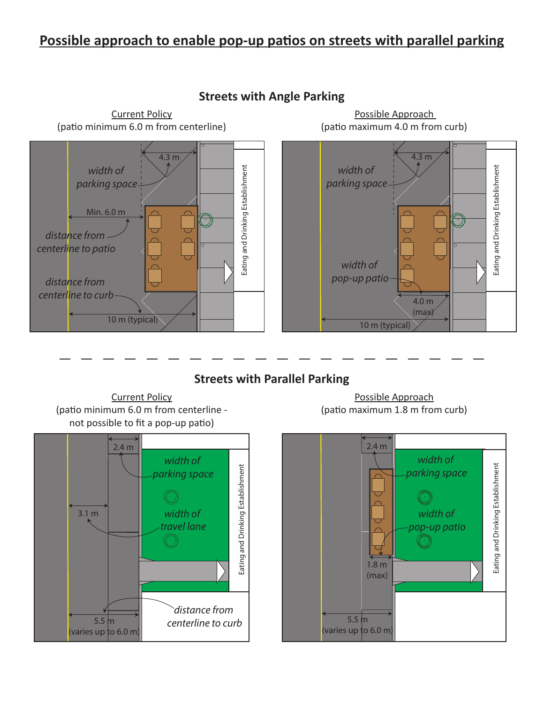# **Possible approach to enable pop-up patios on streets with parallel parking**



# **Streets with Angle Parking**



Possible Approach (patio maximum 4.0 m from curb)

# **Streets with Parallel Parking**





Possible Approach (patio maximum 1.8 m from curb)

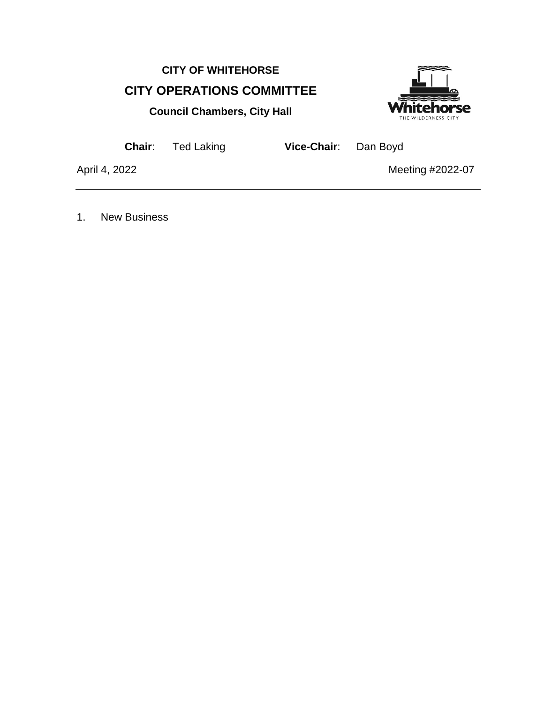# **CITY OF WHITEHORSE CITY OPERATIONS COMMITTEE**





**Chair**: Ted Laking **Vice-Chair**: Dan Boyd

April 4, 2022 **Meeting #2022-07** 

1. New Business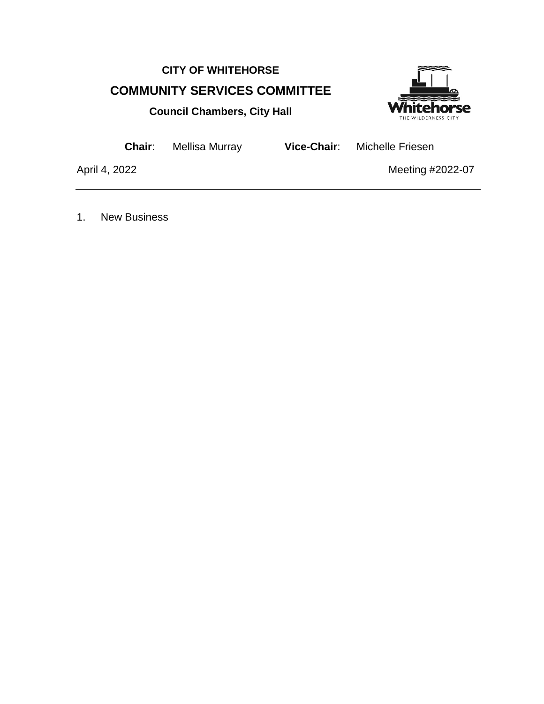# **CITY OF WHITEHORSE COMMUNITY SERVICES COMMITTEE**



**Council Chambers, City Hall**

**Chair**: Mellisa Murray **Vice-Chair**: Michelle Friesen

April 4, 2022 **Meeting #2022-07** 

1. New Business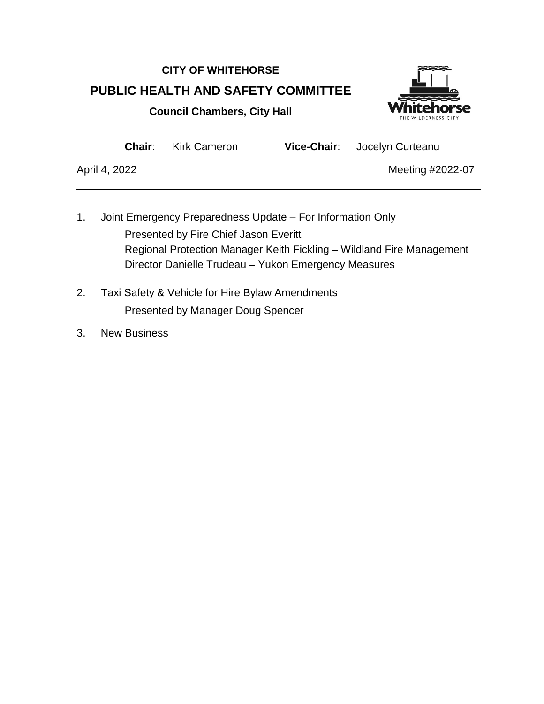# **CITY OF WHITEHORSE PUBLIC HEALTH AND SAFETY COMMITTEE Council Chambers, City Hall**



**Chair**: Kirk Cameron **Vice-Chair**: Jocelyn Curteanu

- 1. Joint Emergency Preparedness Update For Information Only Presented by Fire Chief Jason Everitt Regional Protection Manager Keith Fickling – Wildland Fire Management Director Danielle Trudeau – Yukon Emergency Measures
- 2. Taxi Safety & Vehicle for Hire Bylaw Amendments Presented by Manager Doug Spencer
- 3. New Business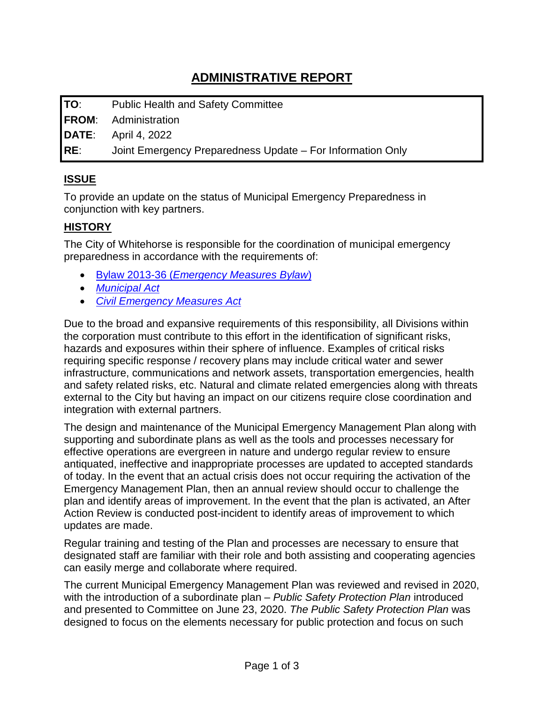**TO**: Public Health and Safety Committee **FROM**: Administration **DATE**: April 4, 2022 **RE**: Joint Emergency Preparedness Update – For Information Only

# **ISSUE**

To provide an update on the status of Municipal Emergency Preparedness in conjunction with key partners.

## **HISTORY**

The City of Whitehorse is responsible for the coordination of municipal emergency preparedness in accordance with the requirements of:

- Bylaw 2013-36 (*[Emergency Measures Bylaw](https://whitehorse.ca/home/showpublisheddocument/98/637215040604730000)*)
- *[Municipal Act](https://laws.yukon.ca/cms/images/LEGISLATION/PRINCIPAL/2002/2002-0154/2002-0154.pdf?zoom_highlight=Municipal+Act#search=%22Municipal%20Act%22)*
- *[Civil Emergency Measures Act](https://laws.yukon.ca/cms/images/LEGISLATION/PRINCIPAL/2002/2002-0034/2002-0034.pdf)*

Due to the broad and expansive requirements of this responsibility, all Divisions within the corporation must contribute to this effort in the identification of significant risks, hazards and exposures within their sphere of influence. Examples of critical risks requiring specific response / recovery plans may include critical water and sewer infrastructure, communications and network assets, transportation emergencies, health and safety related risks, etc. Natural and climate related emergencies along with threats external to the City but having an impact on our citizens require close coordination and integration with external partners.

The design and maintenance of the Municipal Emergency Management Plan along with supporting and subordinate plans as well as the tools and processes necessary for effective operations are evergreen in nature and undergo regular review to ensure antiquated, ineffective and inappropriate processes are updated to accepted standards of today. In the event that an actual crisis does not occur requiring the activation of the Emergency Management Plan, then an annual review should occur to challenge the plan and identify areas of improvement. In the event that the plan is activated, an After Action Review is conducted post-incident to identify areas of improvement to which updates are made.

Regular training and testing of the Plan and processes are necessary to ensure that designated staff are familiar with their role and both assisting and cooperating agencies can easily merge and collaborate where required.

The current Municipal Emergency Management Plan was reviewed and revised in 2020, with the introduction of a subordinate plan – *Public Safety Protection Plan* introduced and presented to Committee on June 23, 2020. *The Public Safety Protection Plan* was designed to focus on the elements necessary for public protection and focus on such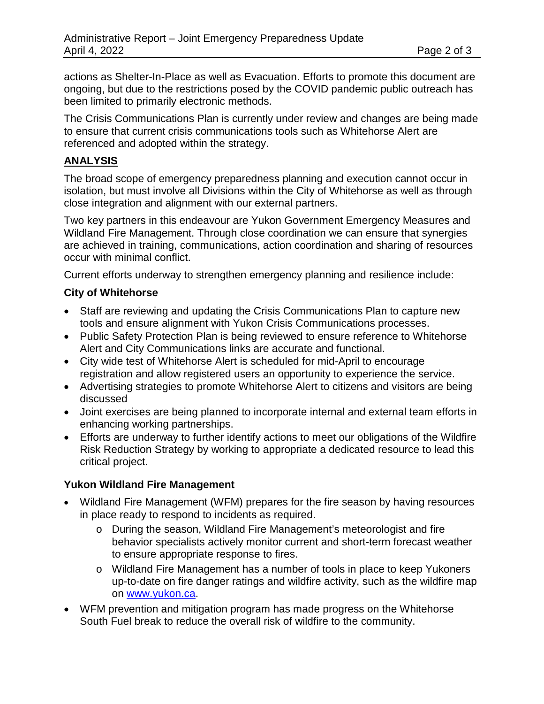actions as Shelter-In-Place as well as Evacuation. Efforts to promote this document are ongoing, but due to the restrictions posed by the COVID pandemic public outreach has been limited to primarily electronic methods.

The Crisis Communications Plan is currently under review and changes are being made to ensure that current crisis communications tools such as Whitehorse Alert are referenced and adopted within the strategy.

### **ANALYSIS**

The broad scope of emergency preparedness planning and execution cannot occur in isolation, but must involve all Divisions within the City of Whitehorse as well as through close integration and alignment with our external partners.

Two key partners in this endeavour are Yukon Government Emergency Measures and Wildland Fire Management. Through close coordination we can ensure that synergies are achieved in training, communications, action coordination and sharing of resources occur with minimal conflict.

Current efforts underway to strengthen emergency planning and resilience include:

#### **City of Whitehorse**

- Staff are reviewing and updating the Crisis Communications Plan to capture new tools and ensure alignment with Yukon Crisis Communications processes.
- Public Safety Protection Plan is being reviewed to ensure reference to Whitehorse Alert and City Communications links are accurate and functional.
- City wide test of Whitehorse Alert is scheduled for mid-April to encourage registration and allow registered users an opportunity to experience the service.
- Advertising strategies to promote Whitehorse Alert to citizens and visitors are being discussed
- Joint exercises are being planned to incorporate internal and external team efforts in enhancing working partnerships.
- Efforts are underway to further identify actions to meet our obligations of the Wildfire Risk Reduction Strategy by working to appropriate a dedicated resource to lead this critical project.

#### **Yukon Wildland Fire Management**

- Wildland Fire Management (WFM) prepares for the fire season by having resources in place ready to respond to incidents as required.
	- o During the season, Wildland Fire Management's meteorologist and fire behavior specialists actively monitor current and short-term forecast weather to ensure appropriate response to fires.
	- o Wildland Fire Management has a number of tools in place to keep Yukoners up-to-date on fire danger ratings and wildfire activity, such as the wildfire map on [www.yukon.ca.](http://www.yukon.ca/)
- WFM prevention and mitigation program has made progress on the Whitehorse South Fuel break to reduce the overall risk of wildfire to the community.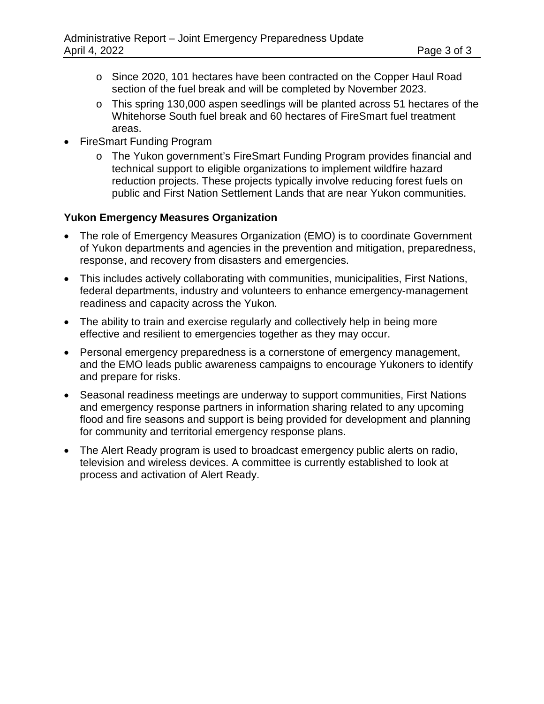- o Since 2020, 101 hectares have been contracted on the Copper Haul Road section of the fuel break and will be completed by November 2023.
- o This spring 130,000 aspen seedlings will be planted across 51 hectares of the Whitehorse South fuel break and 60 hectares of FireSmart fuel treatment areas.
- FireSmart Funding Program
	- o The Yukon government's FireSmart Funding Program provides financial and technical support to eligible organizations to implement wildfire hazard reduction projects. These projects typically involve reducing forest fuels on public and First Nation Settlement Lands that are near Yukon communities.

#### **Yukon Emergency Measures Organization**

- The role of Emergency Measures Organization (EMO) is to coordinate Government of Yukon departments and agencies in the prevention and mitigation, preparedness, response, and recovery from disasters and emergencies.
- This includes actively collaborating with communities, municipalities, First Nations, federal departments, industry and volunteers to enhance emergency-management readiness and capacity across the Yukon.
- The ability to train and exercise regularly and collectively help in being more effective and resilient to emergencies together as they may occur.
- Personal emergency preparedness is a cornerstone of emergency management, and the EMO leads public awareness campaigns to encourage Yukoners to identify and prepare for risks.
- Seasonal readiness meetings are underway to support communities, First Nations and emergency response partners in information sharing related to any upcoming flood and fire seasons and support is being provided for development and planning for community and territorial emergency response plans.
- The Alert Ready program is used to broadcast emergency public alerts on radio, television and wireless devices. A committee is currently established to look at process and activation of Alert Ready.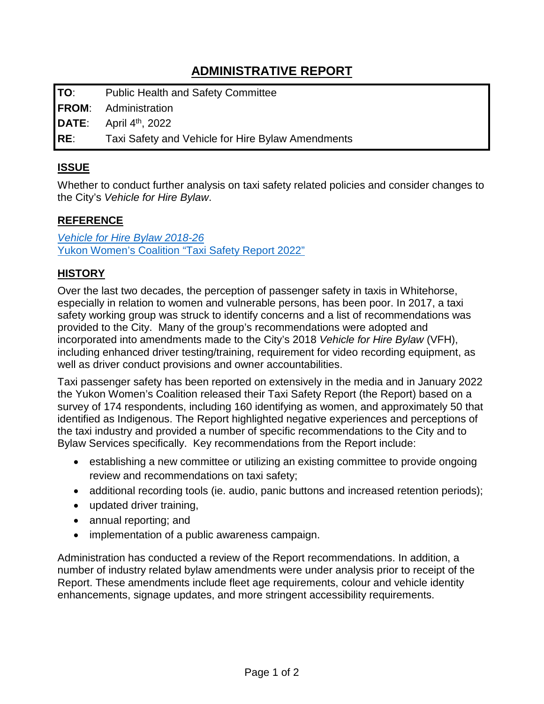**TO**: Public Health and Safety Committee

**FROM**: Administration

**DATE:** April 4<sup>th</sup>, 2022

**RE**: Taxi Safety and Vehicle for Hire Bylaw Amendments

## **ISSUE**

Whether to conduct further analysis on taxi safety related policies and consider changes to the City's *Vehicle for Hire Bylaw*.

### **REFERENCE**

*[Vehicle for Hire Bylaw 2018-26](https://whitehorse.ca/home/showpublisheddocument/69/637635076089630000)* [Yukon Women's Coalition "Taxi Safety Report 2022"](https://www.yukonstatusofwomen.com/publications)

## **HISTORY**

Over the last two decades, the perception of passenger safety in taxis in Whitehorse, especially in relation to women and vulnerable persons, has been poor. In 2017, a taxi safety working group was struck to identify concerns and a list of recommendations was provided to the City. Many of the group's recommendations were adopted and incorporated into amendments made to the City's 2018 *Vehicle for Hire Bylaw* (VFH), including enhanced driver testing/training, requirement for video recording equipment, as well as driver conduct provisions and owner accountabilities.

Taxi passenger safety has been reported on extensively in the media and in January 2022 the Yukon Women's Coalition released their Taxi Safety Report (the Report) based on a survey of 174 respondents, including 160 identifying as women, and approximately 50 that identified as Indigenous. The Report highlighted negative experiences and perceptions of the taxi industry and provided a number of specific recommendations to the City and to Bylaw Services specifically. Key recommendations from the Report include:

- establishing a new committee or utilizing an existing committee to provide ongoing review and recommendations on taxi safety;
- additional recording tools (ie. audio, panic buttons and increased retention periods);
- updated driver training,
- annual reporting; and
- implementation of a public awareness campaign.

Administration has conducted a review of the Report recommendations. In addition, a number of industry related bylaw amendments were under analysis prior to receipt of the Report. These amendments include fleet age requirements, colour and vehicle identity enhancements, signage updates, and more stringent accessibility requirements.